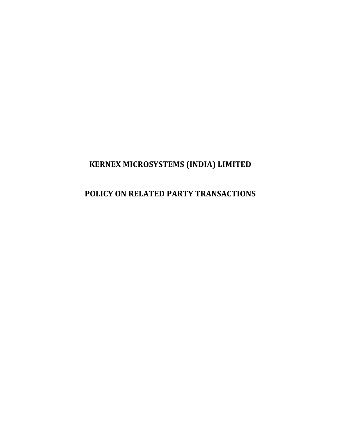# **KERNEX MICROSYSTEMS (INDIA) LIMITED**

# **POLICY ON RELATED PARTY TRANSACTIONS**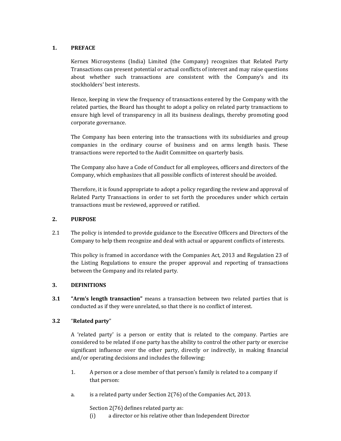# **1. PREFACE**

 Kernex Microsystems (India) Limited (the Company) recognizes that Related Party Transactions can present potential or actual conflicts of interest and may raise questions about whether such transactions are consistent with the Company's and its stockholders' best interests.

Hence, keeping in view the frequency of transactions entered by the Company with the related parties, the Board has thought to adopt a policy on related party transactions to ensure high level of transparency in all its business dealings, thereby promoting good corporate governance.

 The Company has been entering into the transactions with its subsidiaries and group companies in the ordinary course of business and on arms length basis. These transactions were reported to the Audit Committee on quarterly basis.

 The Company also have a Code of Conduct for all employees, officers and directors of the Company, which emphasizes that all possible conflicts of interest should be avoided.

 Therefore, it is found appropriate to adopt a policy regarding the review and approval of Related Party Transactions in order to set forth the procedures under which certain transactions must be reviewed, approved or ratified.

# **2. PURPOSE**

2.1 The policy is intended to provide guidance to the Executive Officers and Directors of the Company to help them recognize and deal with actual or apparent conflicts of interests.

 This policy is framed in accordance with the Companies Act, 2013 and Regulation 23 of the Listing Regulations to ensure the proper approval and reporting of transactions between the Company and its related party.

# **3. DEFINITIONS**

**3.1 "Arm's length transaction"** means a transaction between two related parties that is conducted as if they were unrelated, so that there is no conflict of interest.

# **3.2** "**Related party**"

 A 'related party' is a person or entity that is related to the company. Parties are considered to be related if one party has the ability to control the other party or exercise significant influence over the other party, directly or indirectly, in making financial and/or operating decisions and includes the following:

- 1. A person or a close member of that person's family is related to a company if that person:
- a. is a related party under Section 2(76) of the Companies Act, 2013.

Section 2(76) defines related party as:

(i) a director or his relative other than Independent Director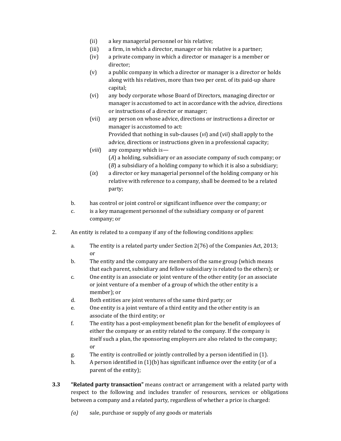- (ii) a key managerial personnel or his relative;
- (iii) a firm, in which a director, manager or his relative is a partner;
- (iv) a private company in which a director or manager is a member or director;
- (v) a public company in which a director or manager is a director or holds along with his relatives, more than two per cent. of its paid-up share capital;
- (vi) any body corporate whose Board of Directors, managing director or manager is accustomed to act in accordance with the advice, directions or instructions of a director or manager;
- (vii) any person on whose advice, directions or instructions a director or manager is accustomed to act: Provided that nothing in sub-clauses (*vi*) and (*vii*) shall apply to the advice, directions or instructions given in a professional capacity;
- (*viii*) any company which is— (*A*) a holding, subsidiary or an associate company of such company; or (*B*) a subsidiary of a holding company to which it is also a subsidiary;
- (*ix*) a director or key managerial personnel of the holding company or his relative with reference to a company, shall be deemed to be a related party;
- b. has control or joint control or significant influence over the company; or
- c. is a key management personnel of the subsidiary company or of parent company; or
- 2. An entity is related to a company if any of the following conditions applies:
	- a. The entity is a related party under Section 2(76) of the Companies Act, 2013; or
	- b. The entity and the company are members of the same group (which means that each parent, subsidiary and fellow subsidiary is related to the others); or
	- c. One entity is an associate or joint venture of the other entity (or an associate or joint venture of a member of a group of which the other entity is a member); or
	- d. Both entities are joint ventures of the same third party; or
	- e. One entity is a joint venture of a third entity and the other entity is an associate of the third entity; or
	- f. The entity has a post-employment benefit plan for the benefit of employees of either the company or an entity related to the company. If the company is itself such a plan, the sponsoring employers are also related to the company; or
	- g. The entity is controlled or jointly controlled by a person identified in (1).
	- h. A person identified in (1)(b) has significant influence over the entity (or of a parent of the entity);
- **3.3 "Related party transaction"** means contract or arrangement with a related party with respect to the following and includes transfer of resources, services or obligations between a company and a related party, regardless of whether a price is charged:
	- *(a)* sale, purchase or supply of any goods or materials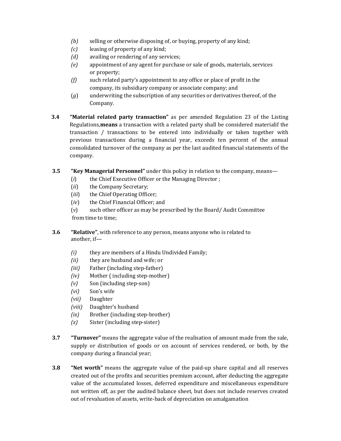- *(b)* selling or otherwise disposing of, or buying, property of any kind;
- *(c)* leasing of property of any kind;
- *(d)* availing or rendering of any services;
- *(e)* appointment of any agent for purchase or sale of goods, materials, services or property;
- *(f)* such related party's appointment to any office or place of profit in the company, its subsidiary company or associate company; and
- (*g*) underwriting the subscription of any securities or derivatives thereof, of the Company.
- **3.4 "Material related party transaction"** as per amended Regulation 23 of the Listing Regulations,**means** a transaction with a related party shall be considered materialif the transaction / transactions to be entered into individually or taken together with previous transactions during a financial year, exceeds ten percent of the annual consolidated turnover of the company as per the last audited financial statements of the company.
- **3.5 "Key Managerial Personnel"** under this policy in relation to the company, means—
	- (*i*) the Chief Executive Officer or the Managing Director ;
	- (*ii*) the Company Secretary;
	- (*iii*) the Chief Operating Officer;
	- (*iv*) the Chief Financial Officer; and
	- (*v*) such other officer as may be prescribed by the Board/ Audit Committee from time to time;
- **3.6 "Relative"**, with reference to any person, means anyone who is related to another, if—
	- *(i)* they are members of a Hindu Undivided Family;
	- *(ii)* they are husband and wife; or
	- *(iii)* Father (including step-father)
	- *(iv)* Mother ( including step-mother)
	- *(v)* Son (including step-son)
	- *(vi)* Son's wife
	- *(vii)* Daughter
	- *(viii)* Daughter's husband
	- *(ix)* Brother (including step-brother)
	- *(x)* Sister (including step-sister)
- **3.7 "Turnover"** means the aggregate value of the realisation of amount made from the sale, supply or distribution of goods or on account of services rendered, or both, by the company during a financial year;
- **3.8 "Net worth"** means the aggregate value of the paid-up share capital and all reserves created out of the profits and securities premium account, after deducting the aggregate value of the accumulated losses, deferred expenditure and miscellaneous expenditure not written off, as per the audited balance sheet, but does not include reserves created out of revaluation of assets, write-back of depreciation on amalgamation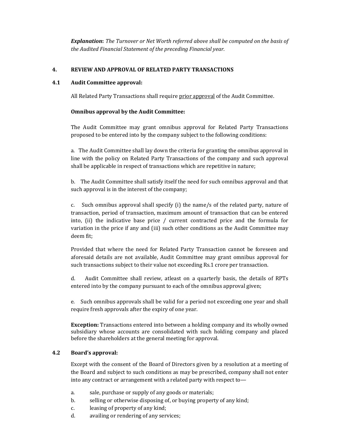*Explanation***:** *The Turnover or Net Worth referred above shall be computed on the basis of the Audited Financial Statement of the preceding Financial year.*

# **4. REVIEW AND APPROVAL OF RELATED PARTY TRANSACTIONS**

# **4.1 Audit Committee approval:**

All Related Party Transactions shall require prior approval of the Audit Committee.

# **Omnibus approval by the Audit Committee:**

 The Audit Committee may grant omnibus approval for Related Party Transactions proposed to be entered into by the company subject to the following conditions:

a. The Audit Committee shall lay down the criteria for granting the omnibus approval in line with the policy on Related Party Transactions of the company and such approval shall be applicable in respect of transactions which are repetitive in nature;

 b. The Audit Committee shall satisfy itself the need for such omnibus approval and that such approval is in the interest of the company;

 c. Such omnibus approval shall specify (i) the name/s of the related party, nature of transaction, period of transaction, maximum amount of transaction that can be entered into, (ii) the indicative base price / current contracted price and the formula for variation in the price if any and (iii) such other conditions as the Audit Committee may deem fit;

Provided that where the need for Related Party Transaction cannot be foreseen and aforesaid details are not available, Audit Committee may grant omnibus approval for such transactions subject to their value not exceeding Rs.1 crore per transaction.

 d. Audit Committee shall review, atleast on a quarterly basis, the details of RPTs entered into by the company pursuant to each of the omnibus approval given;

 e. Such omnibus approvals shall be valid for a period not exceeding one year and shall require fresh approvals after the expiry of one year.

**Exception:** Transactions entered into between a holding company and its wholly owned subsidiary whose accounts are consolidated with such holding company and placed before the shareholders at the general meeting for approval.

# **4.2 Board's approval:**

Except with the consent of the Board of Directors given by a resolution at a meeting of the Board and subject to such conditions as may be prescribed, company shall not enter into any contract or arrangement with a related party with respect to—

- a. sale, purchase or supply of any goods or materials;
- b. selling or otherwise disposing of, or buying property of any kind;
- c. leasing of property of any kind;
- d. availing or rendering of any services;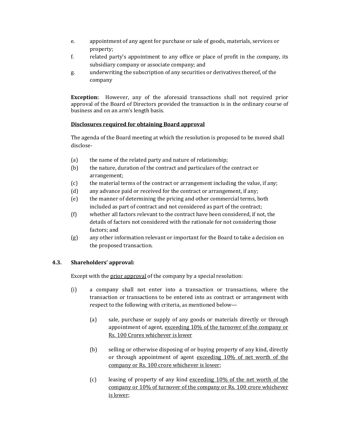- e. appointment of any agent for purchase or sale of goods, materials, services or property;
- f. related party's appointment to any office or place of profit in the company, its subsidiary company or associate company; and
- g. underwriting the subscription of any securities or derivatives thereof, of the company

**Exception:** However, any of the aforesaid transactions shall not required prior approval of the Board of Directors provided the transaction is in the ordinary course of business and on an arm's length basis.

# **Disclosures required for obtaining Board approval**

The agenda of the Board meeting at which the resolution is proposed to be moved shall disclose-

- (a) the name of the related party and nature of relationship;
- (b) the nature, duration of the contract and particulars of the contract or arrangement;
- (c) the material terms of the contract or arrangement including the value, if any;
- (d) any advance paid or received for the contract or arrangement, if any;
- (e) the manner of determining the pricing and other commercial terms, both included as part of contract and not considered as part of the contract;
- (f) whether all factors relevant to the contract have been considered, if not, the details of factors not considered with the rationale for not considering those factors; and
- (g) any other information relevant or important for the Board to take a decision on the proposed transaction.

# **4.3. Shareholders' approval:**

Except with the prior approval of the company by a special resolution:

- (i) a company shall not enter into a transaction or transactions, where the transaction or transactions to be entered into as contract or arrangement with respect to the following with criteria, as mentioned below—
	- (a) sale, purchase or supply of any goods or materials directly or through appointment of agent, exceeding 10% of the turnover of the company or Rs. 100 Crores whichever is lower
	- (b) selling or otherwise disposing of or buying property of any kind, directly or through appointment of agent exceeding 10% of net worth of the company or Rs. 100 crore whichever is lower;
	- (c) leasing of property of any kind exceeding 10% of the net worth of the company or 10% of turnover of the company or Rs. 100 crore whichever is lower;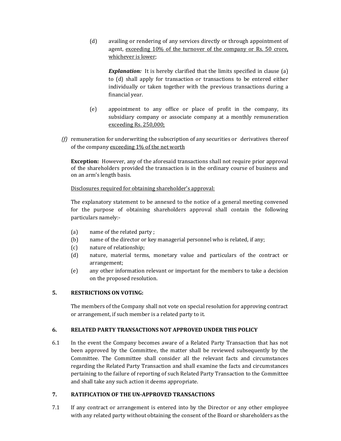(d) availing or rendering of any services directly or through appointment of agent, exceeding 10% of the turnover of the company or Rs. 50 crore, whichever is lower;

**Explanation:** It is hereby clarified that the limits specified in clause (a) to (d) shall apply for transaction or transactions to be entered either individually or taken together with the previous transactions during a financial year.

- (e) appointment to any office or place of profit in the company, its subsidiary company or associate company at a monthly remuneration exceeding Rs. 250,000;
- *(f)* remuneration for underwriting the subscription of any securities or derivatives thereof of the company exceeding 1% of the net worth

**Exception:** However, any of the aforesaid transactions shall not require prior approval of the shareholders provided the transaction is in the ordinary course of business and on an arm's length basis.

Disclosures required for obtaining shareholder's approval:

The explanatory statement to be annexed to the notice of a general meeting convened for the purpose of obtaining shareholders approval shall contain the following particulars namely:-

- (a) name of the related party ;
- (b) name of the director or key managerial personnel who is related, if any;
- (c) nature of relationship;
- (d) nature, material terms, monetary value and particulars of the contract or arrangement;
- (e) any other information relevant or important for the members to take a decision on the proposed resolution.

# **5. RESTRICTIONS ON VOTING:**

The members of the Company shall not vote on special resolution for approving contract or arrangement, if such member is a related party to it.

# **6. RELATED PARTY TRANSACTIONS NOT APPROVED UNDER THIS POLICY**

6.1 In the event the Company becomes aware of a Related Party Transaction that has not been approved by the Committee, the matter shall be reviewed subsequently by the Committee. The Committee shall consider all the relevant facts and circumstances regarding the Related Party Transaction and shall examine the facts and circumstances pertaining to the failure of reporting of such Related Party Transaction to the Committee and shall take any such action it deems appropriate.

# **7. RATIFICATION OF THE UN-APPROVED TRANSACTIONS**

7.1 If any contract or arrangement is entered into by the Director or any other employee with any related party without obtaining the consent of the Board or shareholders as the